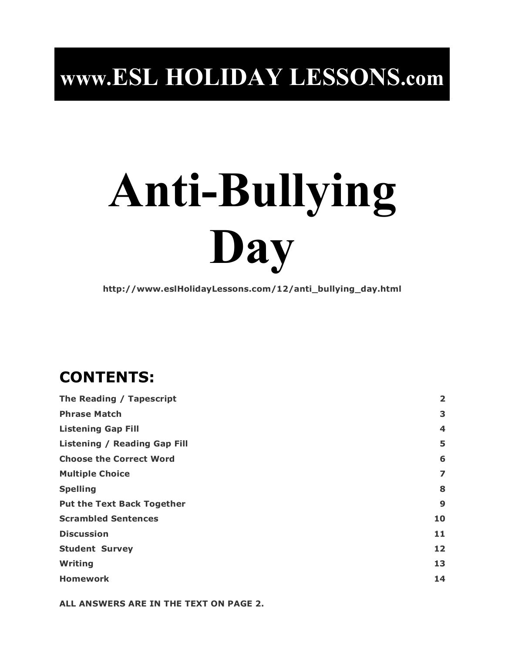## **www.ESL HOLIDAY LESSONS.com**

# **Anti-Bullying Day**

**http://www.eslHolidayLessons.com/12/anti\_bullying\_day.html**

## **CONTENTS:**

| $\overline{\mathbf{2}}$ |
|-------------------------|
| 3                       |
| 4                       |
| 5                       |
| 6                       |
| 7                       |
| 8                       |
| 9                       |
| 10                      |
| 11                      |
| 12                      |
| 13                      |
| 14                      |
|                         |

**ALL ANSWERS ARE IN THE TEXT ON PAGE 2.**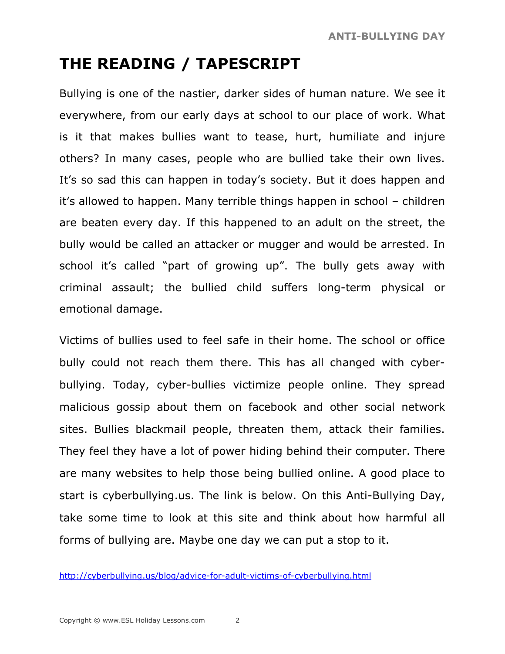## **THE READING / TAPESCRIPT**

Bullying is one of the nastier, darker sides of human nature. We see it everywhere, from our early days at school to our place of work. What is it that makes bullies want to tease, hurt, humiliate and injure others? In many cases, people who are bullied take their own lives. It's so sad this can happen in today's society. But it does happen and it's allowed to happen. Many terrible things happen in school – children are beaten every day. If this happened to an adult on the street, the bully would be called an attacker or mugger and would be arrested. In school it's called "part of growing up". The bully gets away with criminal assault; the bullied child suffers long-term physical or emotional damage.

Victims of bullies used to feel safe in their home. The school or office bully could not reach them there. This has all changed with cyberbullying. Today, cyber-bullies victimize people online. They spread malicious gossip about them on facebook and other social network sites. Bullies blackmail people, threaten them, attack their families. They feel they have a lot of power hiding behind their computer. There are many websites to help those being bullied online. A good place to start is cyberbullying.us. The link is below. On this Anti-Bullying Day, take some time to look at this site and think about how harmful all forms of bullying are. Maybe one day we can put a stop to it.

http://cyberbullying.us/blog/advice-for-adult-victims-of-cyberbullying.html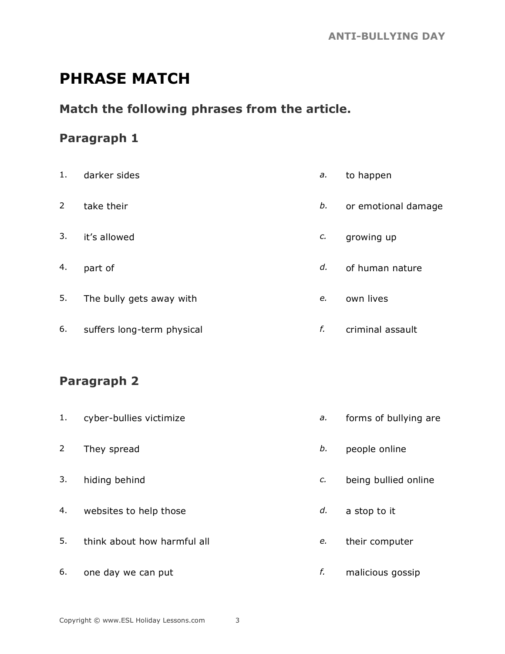## **PHRASE MATCH**

#### **Match the following phrases from the article.**

#### **Paragraph 1**

| 1. | darker sides               | a. | to happen           |
|----|----------------------------|----|---------------------|
| 2  | take their                 | b. | or emotional damage |
| 3. | it's allowed               | c. | growing up          |
| 4. | part of                    | d. | of human nature     |
| 5. | The bully gets away with   | e. | own lives           |
| 6. | suffers long-term physical | f. | criminal assault    |
|    |                            |    |                     |

#### **Paragraph 2**

| 1.             | cyber-bullies victimize     | a. | forms of bullying are |
|----------------|-----------------------------|----|-----------------------|
| $\overline{2}$ | They spread                 | b. | people online         |
| 3.             | hiding behind               | c. | being bullied online  |
| 4.             | websites to help those      | d. | a stop to it          |
| 5.             | think about how harmful all | e. | their computer        |
| 6.             | one day we can put          | f. | malicious gossip      |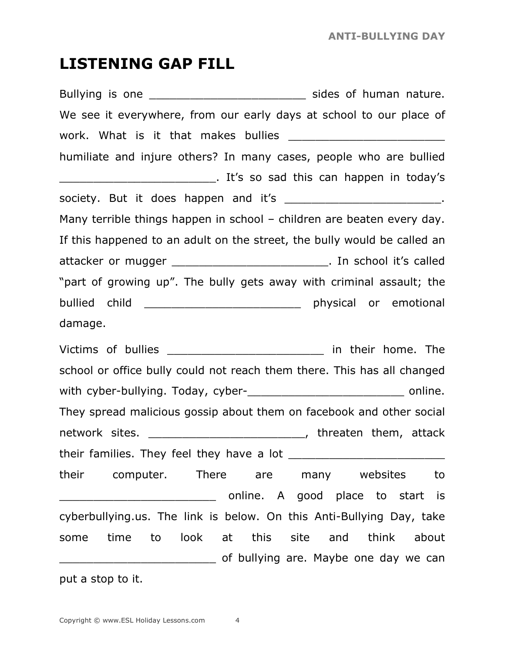### **LISTENING GAP FILL**

Bullying is one **Example 20** Sides of human nature. We see it everywhere, from our early days at school to our place of work. What is it that makes bullies \_\_\_\_\_\_\_\_\_\_\_\_\_\_\_\_\_\_\_\_\_\_\_ humiliate and injure others? In many cases, people who are bullied \_\_\_\_\_\_\_\_\_\_\_\_\_\_\_\_\_\_\_\_\_\_\_. It's so sad this can happen in today's society. But it does happen and it's the society. But it does happen and it's Many terrible things happen in school – children are beaten every day. If this happened to an adult on the street, the bully would be called an attacker or mugger \_\_\_\_\_\_\_\_\_\_\_\_\_\_\_\_\_\_\_\_\_\_\_\_\_\_\_\_\_\_. In school it's called "part of growing up". The bully gets away with criminal assault; the bullied child \_\_\_\_\_\_\_\_\_\_\_\_\_\_\_\_\_\_\_\_\_\_\_\_\_\_\_\_ physical or emotional damage. Victims of bullies \_\_\_\_\_\_\_\_\_\_\_\_\_\_\_\_\_\_\_\_\_\_\_\_\_\_\_\_ in their home. The school or office bully could not reach them there. This has all changed with cyber-bullying. Today, cyber-\_\_\_\_\_\_\_\_\_\_\_\_\_\_\_\_\_\_\_\_\_\_\_ online. They spread malicious gossip about them on facebook and other social network sites. \_\_\_\_\_\_\_\_\_\_\_\_\_\_\_\_\_\_\_\_\_\_\_\_\_\_, threaten them, attack their families. They feel they have a lot their computer. There are many websites to and a good place to start is cyberbullying.us. The link is below. On this Anti-Bullying Day, take some time to look at this site and think about **EXECUTE:** Of bullying are. Maybe one day we can

put a stop to it.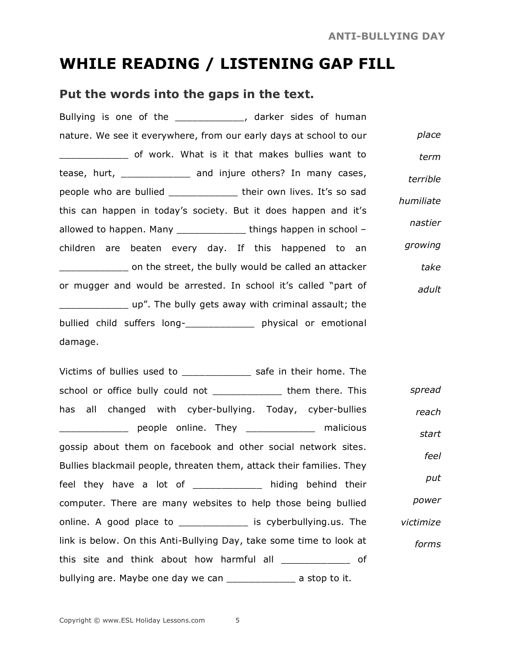## **WHILE READING / LISTENING GAP FILL**

#### **Put the words into the gaps in the text.**

Bullying is one of the \_\_\_\_\_\_\_\_\_\_\_\_\_, darker sides of human nature. We see it everywhere, from our early days at school to our \_\_\_\_\_\_\_\_\_\_\_\_ of work. What is it that makes bullies want to tease, hurt, \_\_\_\_\_\_\_\_\_\_\_\_ and injure others? In many cases, people who are bullied \_\_\_\_\_\_\_\_\_\_\_\_\_ their own lives. It's so sad this can happen in today's society. But it does happen and it's allowed to happen. Many \_\_\_\_\_\_\_\_\_\_\_\_ things happen in school – children are beaten every day. If this happened to an **The street, the bully would be called an attacker** or mugger and would be arrested. In school it's called "part of \_\_\_\_\_\_\_\_\_\_\_\_ up". The bully gets away with criminal assault; the bullied child suffers long-\_\_\_\_\_\_\_\_\_\_\_\_ physical or emotional damage. *place term terrible humiliate nastier growing take adult*

Victims of bullies used to \_\_\_\_\_\_\_\_\_\_\_\_\_\_\_\_\_\_\_\_\_ safe in their home. The school or office bully could not \_\_\_\_\_\_\_\_\_\_\_\_\_\_\_\_ them there. This has all changed with cyber-bullying. Today, cyber-bullies \_\_\_\_\_\_\_\_\_\_\_\_ people online. They \_\_\_\_\_\_\_\_\_\_\_\_ malicious gossip about them on facebook and other social network sites. Bullies blackmail people, threaten them, attack their families. They feel they have a lot of \_\_\_\_\_\_\_\_\_\_\_\_ hiding behind their computer. There are many websites to help those being bullied online. A good place to \_\_\_\_\_\_\_\_\_\_\_\_ is cyberbullying.us. The link is below. On this Anti-Bullying Day, take some time to look at this site and think about how harmful all \_\_\_\_\_\_\_\_\_\_\_\_ of bullying are. Maybe one day we can \_\_\_\_\_\_\_\_\_\_\_\_\_\_\_\_ a stop to it. *spread reach start feel put power victimize forms*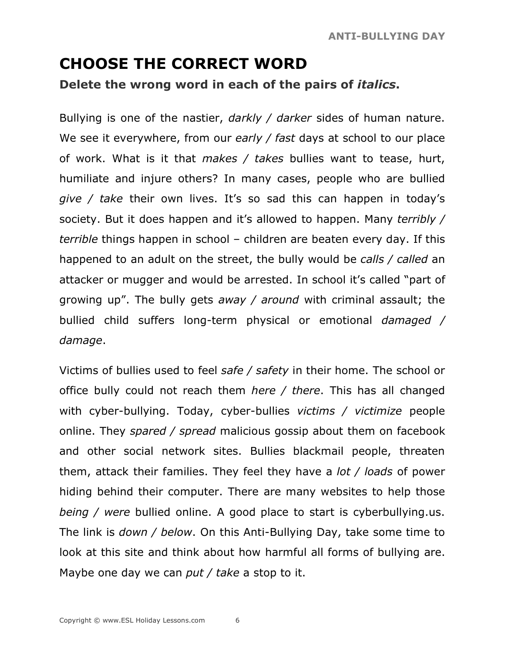## **CHOOSE THE CORRECT WORD Delete the wrong word in each of the pairs of** *italics***.**

Bullying is one of the nastier, *darkly / darker* sides of human nature. We see it everywhere, from our *early / fast* days at school to our place of work. What is it that *makes / takes* bullies want to tease, hurt, humiliate and injure others? In many cases, people who are bullied *give / take* their own lives. It's so sad this can happen in today's society. But it does happen and it's allowed to happen. Many *terribly / terrible* things happen in school – children are beaten every day. If this happened to an adult on the street, the bully would be *calls / called* an attacker or mugger and would be arrested. In school it's called "part of growing up". The bully gets *away / around* with criminal assault; the bullied child suffers long-term physical or emotional *damaged / damage*.

Victims of bullies used to feel *safe / safety* in their home. The school or office bully could not reach them *here / there*. This has all changed with cyber-bullying. Today, cyber-bullies *victims / victimize* people online. They *spared / spread* malicious gossip about them on facebook and other social network sites. Bullies blackmail people, threaten them, attack their families. They feel they have a *lot / loads* of power hiding behind their computer. There are many websites to help those *being / were* bullied online. A good place to start is cyberbullying.us. The link is *down / below*. On this Anti-Bullying Day, take some time to look at this site and think about how harmful all forms of bullying are. Maybe one day we can *put / take* a stop to it.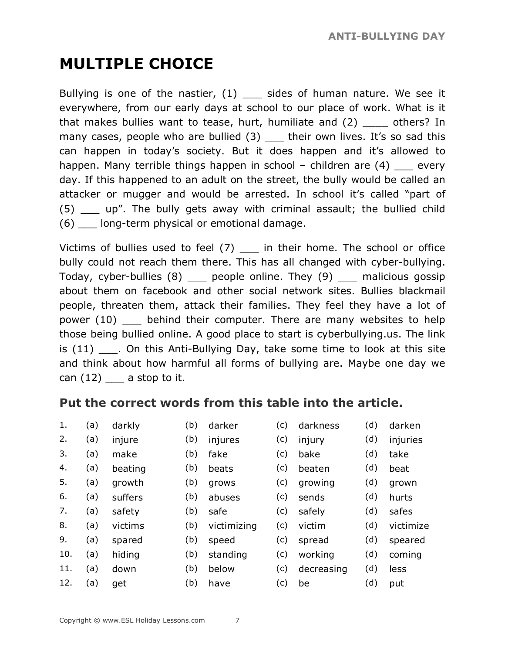## **MULTIPLE CHOICE**

Bullying is one of the nastier,  $(1)$  sides of human nature. We see it everywhere, from our early days at school to our place of work. What is it that makes bullies want to tease, hurt, humiliate and (2) \_\_\_\_ others? In many cases, people who are bullied (3) their own lives. It's so sad this can happen in today's society. But it does happen and it's allowed to happen. Many terrible things happen in school – children are  $(4)$  every day. If this happened to an adult on the street, the bully would be called an attacker or mugger and would be arrested. In school it's called "part of (5) \_\_\_ up". The bully gets away with criminal assault; the bullied child (6) \_\_\_ long-term physical or emotional damage.

Victims of bullies used to feel (7) \_\_\_ in their home. The school or office bully could not reach them there. This has all changed with cyber-bullying. Today, cyber-bullies (8) beople online. They (9) malicious gossip about them on facebook and other social network sites. Bullies blackmail people, threaten them, attack their families. They feel they have a lot of power (10) \_\_\_ behind their computer. There are many websites to help those being bullied online. A good place to start is cyberbullying.us. The link is  $(11)$   $\quad$ . On this Anti-Bullying Day, take some time to look at this site and think about how harmful all forms of bullying are. Maybe one day we can  $(12)$  a stop to it.

#### **Put the correct words from this table into the article.**

| 1.  | (a) | darkly  | (b) | darker      | (c) | darkness   | (d) | darken    |
|-----|-----|---------|-----|-------------|-----|------------|-----|-----------|
| 2.  | (a) | injure  | (b) | injures     | (c) | injury     | (d) | injuries  |
| 3.  | (a) | make    | (b) | fake        | (c) | bake       | (d) | take      |
| 4.  | (a) | beating | (b) | beats       | (c) | beaten     | (d) | beat      |
| 5.  | (a) | growth  | (b) | grows       | (c) | growing    | (d) | grown     |
| 6.  | (a) | suffers | (b) | abuses      | (c) | sends      | (d) | hurts     |
| 7.  | (a) | safety  | (b) | safe        | (c) | safely     | (d) | safes     |
| 8.  | (a) | victims | (b) | victimizing | (c) | victim     | (d) | victimize |
| 9.  | (a) | spared  | (b) | speed       | (c) | spread     | (d) | speared   |
| 10. | (a) | hiding  | (b) | standing    | (c) | working    | (d) | coming    |
| 11. | (a) | down    | (b) | below       | (c) | decreasing | (d) | less      |

12. (a) get (b) have (c) be (d) put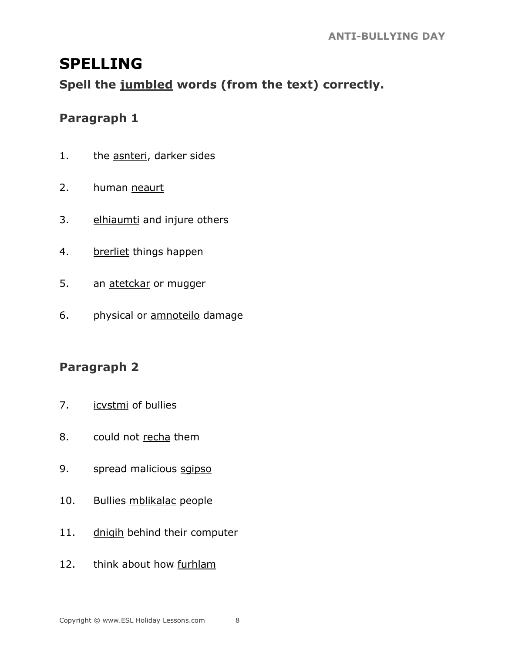## **SPELLING**

**Spell the jumbled words (from the text) correctly.**

#### **Paragraph 1**

- 1. the asnteri, darker sides
- 2. human neaurt
- 3. elhiaumti and injure others
- 4. brerliet things happen
- 5. an atetckar or mugger
- 6. physical or **amnotello** damage

#### **Paragraph 2**

- 7. icvstmi of bullies
- 8. could not recha them
- 9. spread malicious sqipso
- 10. Bullies mblikalac people
- 11. dnigih behind their computer
- 12. think about how furhlam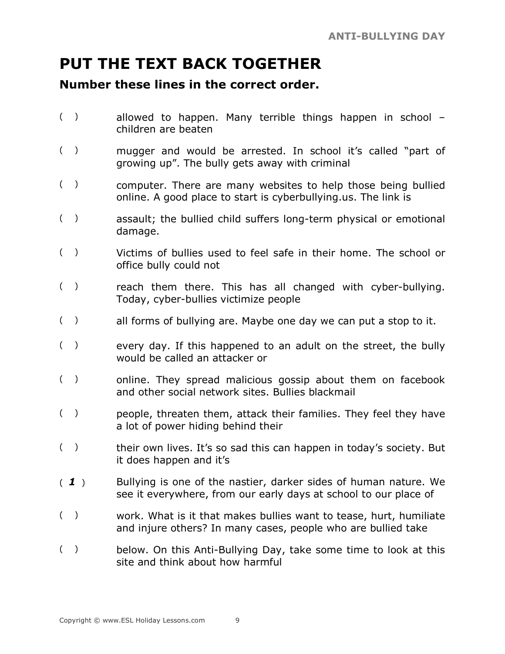## **PUT THE TEXT BACK TOGETHER**

#### **Number these lines in the correct order.**

- () allowed to happen. Many terrible things happen in school children are beaten
- ( ) mugger and would be arrested. In school it's called "part of growing up". The bully gets away with criminal
- ( ) computer. There are many websites to help those being bullied online. A good place to start is cyberbullying.us. The link is
- ( ) assault; the bullied child suffers long-term physical or emotional damage.
- ( ) Victims of bullies used to feel safe in their home. The school or office bully could not
- () reach them there. This has all changed with cyber-bullying. Today, cyber-bullies victimize people
- $($ ) all forms of bullying are. Maybe one day we can put a stop to it.
- $($ ) every day. If this happened to an adult on the street, the bully would be called an attacker or
- ( ) online. They spread malicious gossip about them on facebook and other social network sites. Bullies blackmail
- ( ) people, threaten them, attack their families. They feel they have a lot of power hiding behind their
- () their own lives. It's so sad this can happen in today's society. But it does happen and it's
- ( *1* ) Bullying is one of the nastier, darker sides of human nature. We see it everywhere, from our early days at school to our place of
- ( ) work. What is it that makes bullies want to tease, hurt, humiliate and injure others? In many cases, people who are bullied take
- () below. On this Anti-Bullying Day, take some time to look at this site and think about how harmful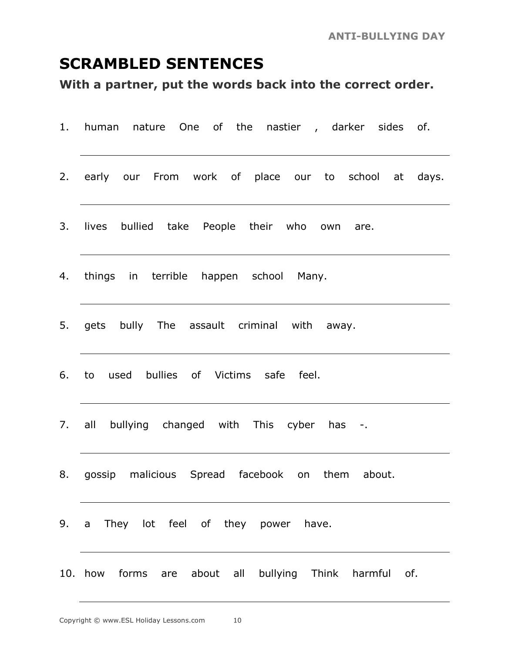## **SCRAMBLED SENTENCES**

**With a partner, put the words back into the correct order.**

| 1. human nature One of the nastier, darker sides of.   |
|--------------------------------------------------------|
| 2. early our From work of place our to school at days. |
| 3. lives bullied take People their who own are.        |
| 4. things in terrible happen school Many.              |
| 5. gets bully The assault criminal with away.          |
| 6. to used bullies of Victims safe feel.               |
| 7. all bullying changed with This cyber has -.         |
| 8. gossip malicious Spread facebook on them about.     |
| 9. a They lot feel of they power have.                 |
| 10. how forms are about all bullying Think harmful of. |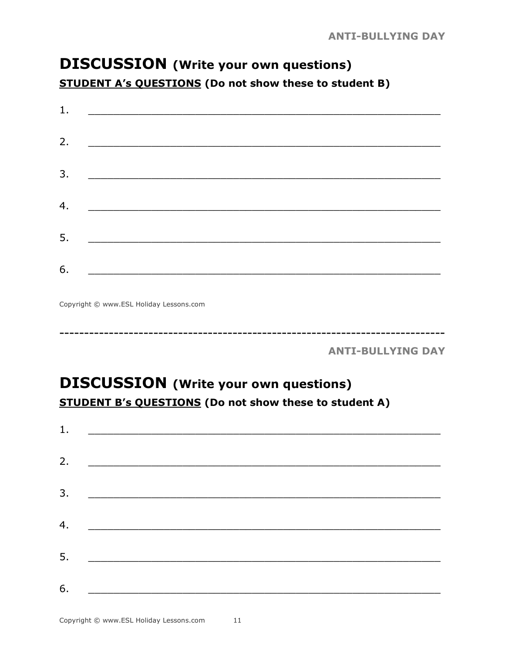## **DISCUSSION** (Write your own questions) **STUDENT A's QUESTIONS (Do not show these to student B)**

| 1. |                                                                                                                       |  |  |
|----|-----------------------------------------------------------------------------------------------------------------------|--|--|
| 2. |                                                                                                                       |  |  |
| 3. | <u> 1980 - Jan Samuel Barbara, margaret e</u> n 1980 eta eta batean batean batean batean batean batean batean batean  |  |  |
| 4. |                                                                                                                       |  |  |
| 5. | <u> 1980 - Jan Barbarat, martin dina masjid a shekara ta 1980 a shekara ta 1980 a shekara ta 1980 a shekara ta 19</u> |  |  |
| 6. |                                                                                                                       |  |  |

Copyright © www.ESL Holiday Lessons.com

**ANTI-BULLYING DAY** 

## **DISCUSSION** (Write your own questions) **STUDENT B's QUESTIONS (Do not show these to student A)**

| 1. |                                                                                                                      |  |  |  |
|----|----------------------------------------------------------------------------------------------------------------------|--|--|--|
| 2. | <u> 1980 - Andrea Andrew Maria (h. 1980).</u>                                                                        |  |  |  |
| 3. | <u> 1980 - Andrea Andrew Maria (h. 1980).</u>                                                                        |  |  |  |
|    |                                                                                                                      |  |  |  |
| 4. |                                                                                                                      |  |  |  |
| 5. | <u> 1980 - Jan Barnett, mars eta bat erroman erroman ez arte eta bat erroman ez arte eta bat erroman ez arte eta</u> |  |  |  |
| 6. |                                                                                                                      |  |  |  |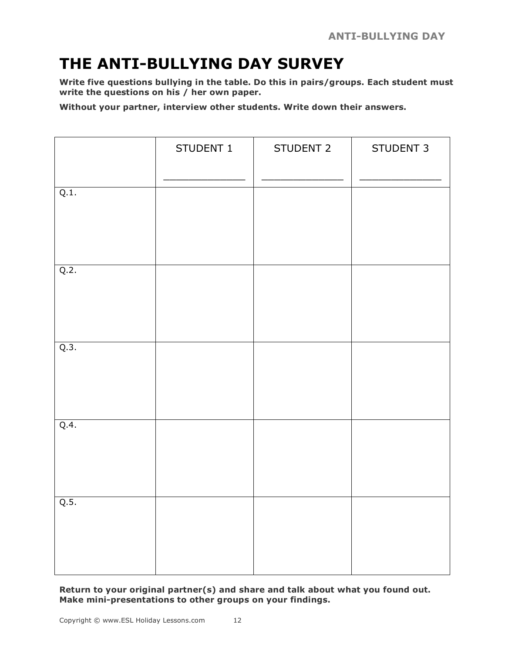## **THE ANTI-BULLYING DAY SURVEY**

**Write five questions bullying in the table. Do this in pairs/groups. Each student must write the questions on his / her own paper.**

**Without your partner, interview other students. Write down their answers.**

|      | STUDENT 1 | STUDENT 2 | STUDENT 3 |
|------|-----------|-----------|-----------|
| Q.1. |           |           |           |
| Q.2. |           |           |           |
| Q.3. |           |           |           |
| Q.4. |           |           |           |
| Q.5. |           |           |           |

**Return to your original partner(s) and share and talk about what you found out. Make mini-presentations to other groups on your findings.**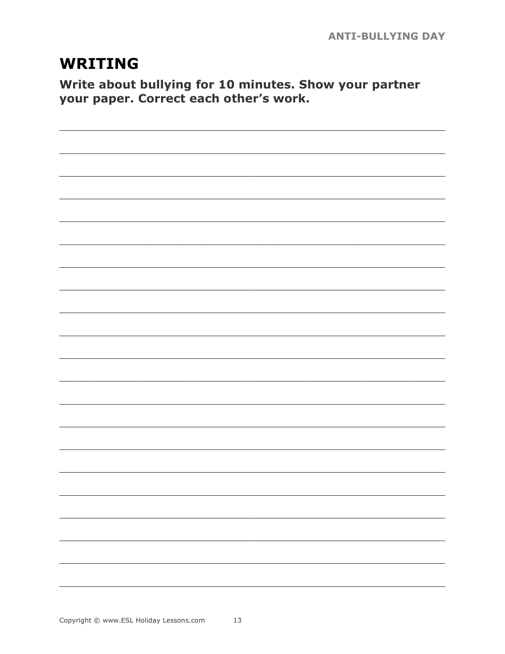## **WRITING**

Write about bullying for 10 minutes. Show your partner your paper. Correct each other's work.